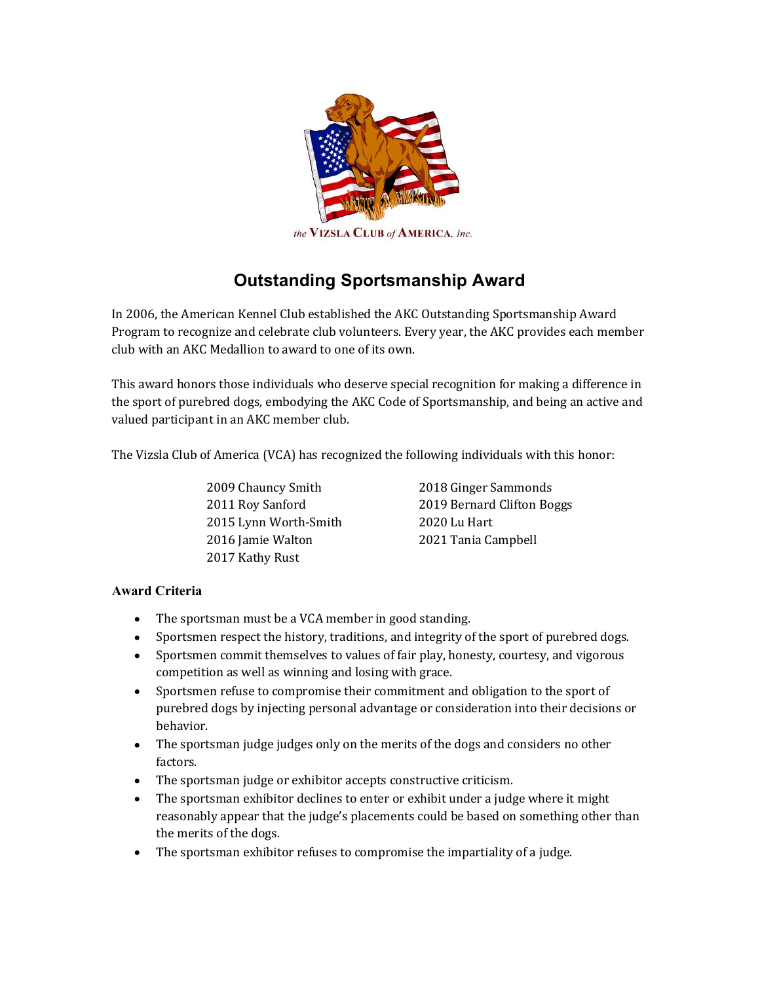

## **Outstanding Sportsmanship Award**

In 2006, the American Kennel Club established the AKC Outstanding Sportsmanship Award Program to recognize and celebrate club volunteers. Every year, the AKC provides each member club with an AKC Medallion to award to one of its own.

This award honors those individuals who deserve special recognition for making a difference in the sport of purebred dogs, embodying the AKC Code of Sportsmanship, and being an active and valued participant in an AKC member club.

The Vizsla Club of America (VCA) has recognized the following individuals with this honor:

 Chauncy Smith Roy Sanford Lynn Worth-Smith Jamie Walton Kathy Rust

 Ginger Sammonds Bernard Clifton Boggs 2020 Lu Hart Tania Campbell

## **Award Criteria**

- The sportsman must be a VCA member in good standing.
- Sportsmen respect the history, traditions, and integrity of the sport of purebred dogs.
- Sportsmen commit themselves to values of fair play, honesty, courtesy, and vigorous competition as well as winning and losing with grace.
- Sportsmen refuse to compromise their commitment and obligation to the sport of purebred dogs by injecting personal advantage or consideration into their decisions or behavior.
- The sportsman judge judges only on the merits of the dogs and considers no other factors.
- The sportsman judge or exhibitor accepts constructive criticism.
- The sportsman exhibitor declines to enter or exhibit under a judge where it might reasonably appear that the judge's placements could be based on something other than the merits of the dogs.
- The sportsman exhibitor refuses to compromise the impartiality of a judge.